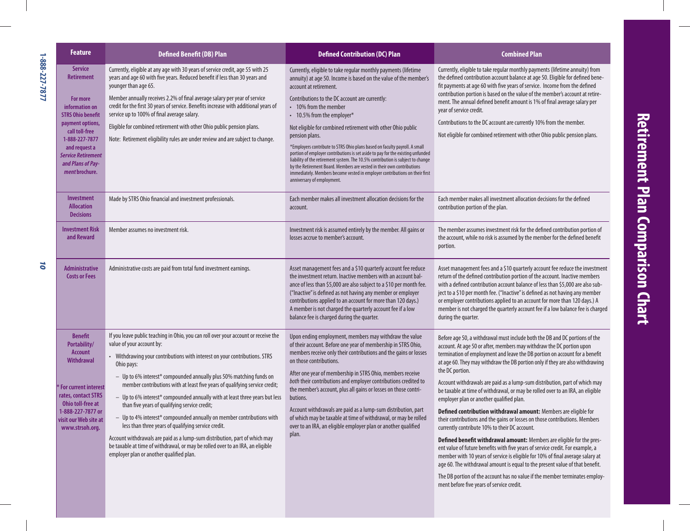| <b>Feature</b>                                                                                                                                                                                                                             | <b>Defined Benefit (DB) Plan</b>                                                                                                                                                                                                                                                                                                                                                                                                                                                                                                                                                                                                                                                                                                                                                                                                               | <b>Defined Contribution (DC) Plan</b>                                                                                                                                                                                                                                                                                                                                                                                                                                                                                                                                                                                                                                                                                                                                                             | <b>Combined Plan</b>                                                                                                                                                                                                                                                                                                                                                                                                                                                                                                                                                                                                                                                                                                                                                                                                                                                                                                                                                                                                                                                                                                                                                                                             |
|--------------------------------------------------------------------------------------------------------------------------------------------------------------------------------------------------------------------------------------------|------------------------------------------------------------------------------------------------------------------------------------------------------------------------------------------------------------------------------------------------------------------------------------------------------------------------------------------------------------------------------------------------------------------------------------------------------------------------------------------------------------------------------------------------------------------------------------------------------------------------------------------------------------------------------------------------------------------------------------------------------------------------------------------------------------------------------------------------|---------------------------------------------------------------------------------------------------------------------------------------------------------------------------------------------------------------------------------------------------------------------------------------------------------------------------------------------------------------------------------------------------------------------------------------------------------------------------------------------------------------------------------------------------------------------------------------------------------------------------------------------------------------------------------------------------------------------------------------------------------------------------------------------------|------------------------------------------------------------------------------------------------------------------------------------------------------------------------------------------------------------------------------------------------------------------------------------------------------------------------------------------------------------------------------------------------------------------------------------------------------------------------------------------------------------------------------------------------------------------------------------------------------------------------------------------------------------------------------------------------------------------------------------------------------------------------------------------------------------------------------------------------------------------------------------------------------------------------------------------------------------------------------------------------------------------------------------------------------------------------------------------------------------------------------------------------------------------------------------------------------------------|
| <b>Service</b><br><b>Retirement</b><br>For more<br>information on<br><b>STRS Ohio benefit</b><br>payment options,<br>call toll-free<br>1-888-227-7877<br>and request a<br><b>Service Retirement</b><br>and Plans of Pay-<br>ment brochure. | Currently, eligible at any age with 30 years of service credit, age 55 with 25<br>years and age 60 with five years. Reduced benefit if less than 30 years and<br>younger than age 65.<br>Member annually receives 2.2% of final average salary per year of service<br>credit for the first 30 years of service. Benefits increase with additional years of<br>service up to 100% of final average salary.<br>Eligible for combined retirement with other Ohio public pension plans.<br>Note: Retirement eligibility rules are under review and are subject to change.                                                                                                                                                                                                                                                                          | Currently, eligible to take regular monthly payments (lifetime<br>annuity) at age 50. Income is based on the value of the member's<br>account at retirement.<br>Contributions to the DC account are currently:<br>• 10% from the member<br>• 10.5% from the employer*<br>Not eligible for combined retirement with other Ohio public<br>pension plans.<br>*Employers contribute to STRS Ohio plans based on faculty payroll. A small<br>portion of employer contributions is set aside to pay for the existing unfunded<br>liability of the retirement system. The 10.5% contribution is subject to change<br>by the Retirement Board. Members are vested in their own contributions<br>immediately. Members become vested in employer contributions on their first<br>anniversary of employment. | Currently, eligible to take regular monthly payments (lifetime annuity) from<br>the defined contribution account balance at age 50. Eligible for defined bene-<br>fit payments at age 60 with five years of service. Income from the defined<br>contribution portion is based on the value of the member's account at retire-<br>ment. The annual defined benefit amount is 1% of final average salary per<br>year of service credit.<br>Contributions to the DC account are currently 10% from the member.<br>Not eligible for combined retirement with other Ohio public pension plans.                                                                                                                                                                                                                                                                                                                                                                                                                                                                                                                                                                                                                        |
| <b>Investment</b><br><b>Allocation</b><br><b>Decisions</b>                                                                                                                                                                                 | Made by STRS Ohio financial and investment professionals.                                                                                                                                                                                                                                                                                                                                                                                                                                                                                                                                                                                                                                                                                                                                                                                      | Each member makes all investment allocation decisions for the<br>account.                                                                                                                                                                                                                                                                                                                                                                                                                                                                                                                                                                                                                                                                                                                         | Each member makes all investment allocation decisions for the defined<br>contribution portion of the plan.                                                                                                                                                                                                                                                                                                                                                                                                                                                                                                                                                                                                                                                                                                                                                                                                                                                                                                                                                                                                                                                                                                       |
| <b>Investment Risk</b><br>and Reward                                                                                                                                                                                                       | Member assumes no investment risk.                                                                                                                                                                                                                                                                                                                                                                                                                                                                                                                                                                                                                                                                                                                                                                                                             | Investment risk is assumed entirely by the member. All gains or<br>losses accrue to member's account.                                                                                                                                                                                                                                                                                                                                                                                                                                                                                                                                                                                                                                                                                             | The member assumes investment risk for the defined contribution portion of<br>the account, while no risk is assumed by the member for the defined benefit<br>portion.                                                                                                                                                                                                                                                                                                                                                                                                                                                                                                                                                                                                                                                                                                                                                                                                                                                                                                                                                                                                                                            |
| <b>Administrative</b><br><b>Costs or Fees</b>                                                                                                                                                                                              | Administrative costs are paid from total fund investment earnings.                                                                                                                                                                                                                                                                                                                                                                                                                                                                                                                                                                                                                                                                                                                                                                             | Asset management fees and a \$10 quarterly account fee reduce<br>the investment return. Inactive members with an account bal-<br>ance of less than \$5,000 are also subject to a \$10 per month fee.<br>("Inactive" is defined as not having any member or employer<br>contributions applied to an account for more than 120 days.)<br>A member is not charged the quarterly account fee if a low<br>balance fee is charged during the quarter.                                                                                                                                                                                                                                                                                                                                                   | Asset management fees and a \$10 quarterly account fee reduce the investment<br>return of the defined contribution portion of the account. Inactive members<br>with a defined contribution account balance of less than \$5,000 are also sub-<br>ject to a \$10 per month fee. ("Inactive" is defined as not having any member<br>or employer contributions applied to an account for more than 120 days.) A<br>member is not charged the quarterly account fee if a low balance fee is charged<br>during the quarter.                                                                                                                                                                                                                                                                                                                                                                                                                                                                                                                                                                                                                                                                                           |
| <b>Benefit</b><br>Portability/<br><b>Account</b><br><b>Withdrawal</b><br>For current interest<br>rates, contact STRS<br>Ohio toll-free at<br>1-888-227-7877 or<br>visit our Web site at<br>www.strsoh.org.                                 | If you leave public teaching in Ohio, you can roll over your account or receive the<br>value of your account by:<br>• Withdrawing your contributions with interest on your contributions. STRS<br>Ohio pays:<br>- Up to 6% interest* compounded annually plus 50% matching funds on<br>member contributions with at least five years of qualifying service credit;<br>- Up to 6% interest* compounded annually with at least three years but less<br>than five years of qualifying service credit;<br>- Up to 4% interest* compounded annually on member contributions with<br>less than three years of qualifying service credit.<br>Account withdrawals are paid as a lump-sum distribution, part of which may<br>be taxable at time of withdrawal, or may be rolled over to an IRA, an eligible<br>employer plan or another qualified plan. | Upon ending employment, members may withdraw the value<br>of their account. Before one year of membership in STRS Ohio,<br>members receive only their contributions and the gains or losses<br>on those contributions.<br>After one year of membership in STRS Ohio, members receive<br>both their contributions and employer contributions credited to<br>the member's account, plus all gains or losses on those contri-<br>butions.<br>Account withdrawals are paid as a lump-sum distribution, part<br>of which may be taxable at time of withdrawal, or may be rolled<br>over to an IRA, an eligible employer plan or another qualified<br>plan.                                                                                                                                             | Before age 50, a withdrawal must include both the DB and DC portions of the<br>account. At age 50 or after, members may withdraw the DC portion upon<br>termination of employment and leave the DB portion on account for a benefit<br>at age 60. They may withdraw the DB portion only if they are also withdrawing<br>the DC portion.<br>Account withdrawals are paid as a lump-sum distribution, part of which may<br>be taxable at time of withdrawal, or may be rolled over to an IRA, an eligible<br>employer plan or another qualified plan.<br>Defined contribution withdrawal amount: Members are eligible for<br>their contributions and the gains or losses on those contributions. Members<br>currently contribute 10% to their DC account.<br>Defined benefit withdrawal amount: Members are eligible for the pres-<br>ent value of future benefits with five years of service credit. For example, a<br>member with 10 years of service is eligible for 10% of final average salary at<br>age 60. The withdrawal amount is equal to the present value of that benefit.<br>The DB portion of the account has no value if the member terminates employ-<br>ment before five years of service credit. |

JO